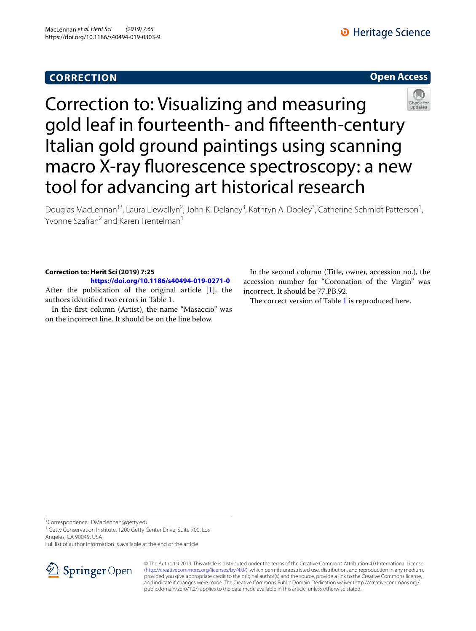# **CORRECTION**

## **Open Access**



Correction to: Visualizing and measuring gold leaf in fourteenth- and ffteenth-century Italian gold ground paintings using scanning macro X-ray fuorescence spectroscopy: a new tool for advancing art historical research

Douglas MacLennan<sup>1\*</sup>, Laura Llewellyn<sup>2</sup>, John K. Delaney<sup>3</sup>, Kathryn A. Dooley<sup>3</sup>, Catherine Schmidt Patterson<sup>1</sup>, Yvonne Szafran<sup>2</sup> and Karen Trentelman<sup>1</sup>

## **Correction to: Herit Sci (2019) 7:25**

**<https://doi.org/10.1186/s40494-019-0271-0>**

After the publication of the original article  $[1]$  $[1]$ , the authors identifed two errors in Table 1.

In the frst column (Artist), the name "Masaccio" was on the incorrect line. It should be on the line below.

In the second column (Title, owner, accession no.), the accession number for "Coronation of the Virgin" was incorrect. It should be 77.PB.92.

The correct version of Table  $1$  is reproduced here.

\*Correspondence: DMaclennan@getty.edu

<sup>1</sup> Getty Conservation Institute, 1200 Getty Center Drive, Suite 700, Los Angeles, CA 90049, USA

Full list of author information is available at the end of the article



© The Author(s) 2019. This article is distributed under the terms of the Creative Commons Attribution 4.0 International License [\(http://creativecommons.org/licenses/by/4.0/\)](http://creativecommons.org/licenses/by/4.0/), which permits unrestricted use, distribution, and reproduction in any medium, provided you give appropriate credit to the original author(s) and the source, provide a link to the Creative Commons license, and indicate if changes were made. The Creative Commons Public Domain Dedication waiver (http://creativecommons.org/ publicdomain/zero/1.0/) applies to the data made available in this article, unless otherwise stated.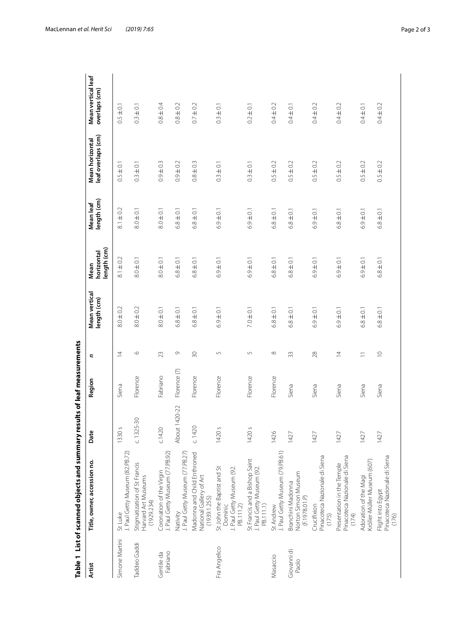|                        | Table 1 List of scanned objects and summary                                     |                       | results of leaf measurements |                |                             |                                   |                          |                                       |                                     |
|------------------------|---------------------------------------------------------------------------------|-----------------------|------------------------------|----------------|-----------------------------|-----------------------------------|--------------------------|---------------------------------------|-------------------------------------|
| Artist                 | Title, owner, accession no.                                                     | Ď                     | Region                       | Ξ              | Mean vertical<br>ength (cm) | length (cm)<br>horizontal<br>Mean | length (cm)<br>Mean leaf | leaf overlaps (cm)<br>Mean horizontal | Mean vertical leaf<br>overlaps (cm) |
| Simone Martini         | J. Paul Getty Museum (82.PB.72)<br>St Luke                                      | $\mathcal{S}$<br>1330 | Siena                        | $\overline{4}$ | $8.0 \pm 0.2$               | $8.1 \pm 0.2$                     | $8.1 \pm 0.2$            | $0.5 \pm 0.1$                         | $0.5 \pm 0.1$                       |
| Taddeo Gaddi           | Stigmatization of St Francis<br>Harvard Art Museums<br>(1929.234)               | $C. 1325 - 30$        | Florence                     | $\circ$        | $8.0 \pm 0.2$               | $8.0 \pm 0.1$                     | $8.0 \pm 0.1$            | $0.3 \pm 0.1$                         | $0.3 \pm 0.1$                       |
| Fabriano<br>Gentile da | J. Paul Getty Museum (77.PB.92)<br>Coronation of the Virgin                     | C.1420                | Fabriano                     | 23             | $8.0 \pm 0.1$               | $8.0 \pm 0.1$                     | $8.0 \pm 0.1$            | $0.9 + 0.3$                           | $0.8 \pm 0.4$                       |
|                        | J. Paul Getty Museum (77.PB.27)<br>Nativity                                     | About 1420-22         | Florence (?)                 | G              | $6.8 \pm 0.1$               | $6.8 \pm 0.1$                     | $6.8 \pm 0.1$            | $0.9 \pm 0.2$                         | $0.8 + 0.2$                         |
|                        | Madonna and Child Enthroned<br>National Gallery of Art<br>(1939.1.255)          | C.1420                | Florence                     | 50             | $6.8 \pm 0.1$               | $\pm 0.1$<br>6.8                  | $6.8 \pm 0.1$            | $\pm 0.3$<br>$\frac{8}{2}$            | $0.7 \pm 0.2$                       |
| Fra Angelico           | St John the Baptist and St<br>J. Paul Getty Museum (92.<br>Dominic<br>PB.111.2) | $\mathcal{S}$<br>1420 | Florence                     | $\overline{5}$ | $6.9 \pm 0.1$               | $6.9 \pm 0.1$                     | $6.9 \pm 0.1$            | $\overline{=}0$ .<br>$0.\overline{3}$ | $0.3 \pm 0.1$                       |
|                        | St Francis and a Bishop Saint<br>J. Paul Getty Museum (92.<br>PB.111.1)         | $\mathcal{S}$<br>1420 | Florence                     | 5              | $7.0 \pm 0.1$               | $6.9 \pm 0.1$                     | $6.9 \pm 0.1$            | $0.3 \pm 0.1$                         | $0.2 \pm 0.1$                       |
| Masaccio               | J. Paul Getty Museum (79.PB.61)<br>St Andrew                                    | 1426                  | Florence                     | $\infty$       | $6.8 \pm 0.1$               | $6.8 \pm 0.1$                     | $6.8 \pm 0.1$            | $0.5 \pm 0.2$                         | $0.4 \pm 0.2$                       |
| Giovanni di<br>Paolo   | Norton Simon Museum<br>Branchini Madonna<br>(F.1978.01.P)                       | 1427                  | Siena                        | 33             | $6.8 \pm 0.1$               | $6.8 \pm 0.1$                     | $6.8 \pm 0.1$            | $0.5 \pm 0.2$                         | $0.4 \pm 0.1$                       |
|                        | Pinacoteca Nazionale di Siena<br>Crucifixion<br>(175)                           | 1427                  | Siena                        | 28             | $6.9 \pm 0.1$               | $6.9 \pm 0.1$                     | $6.9 \pm 0.1$            | $0.5 \pm 0.2$                         | $0.4 \pm 0.2$                       |
|                        | Pinacoteca Nazionale di Siena<br>Presentation in the Temple<br>(174)            | 1427                  | Siena                        | $\overline{4}$ | $6.9 \pm 0.1$               | $6.9 \pm 0.1$                     | $6.8 \pm 0.1$            | $0.5 \pm 0.2$                         | $0.4 \pm 0.2$                       |
|                        | Kröller-Müller Museum (607)<br>Adoration of the Magi                            | 1427                  | Siena                        | $\equiv$       | $6.8 \pm 0.1$               | $6.9 \pm 0.1$                     | $6.9 \pm 0.1$            | $0.5 \pm 0.2$                         | $0.4 \pm 0.1$                       |
|                        | Pinacoteca Nazionale di Siena<br>Flight into Egypt<br>(176)                     | 1427                  | Siena                        | $\supseteq$    | $6.8 \pm 0.1$               | $6.8 \pm 0.1$                     | $6.8 \pm 0.1$            | $0.5 \pm 0.2$                         | $0.4 \pm 0.2$                       |

<span id="page-1-0"></span>